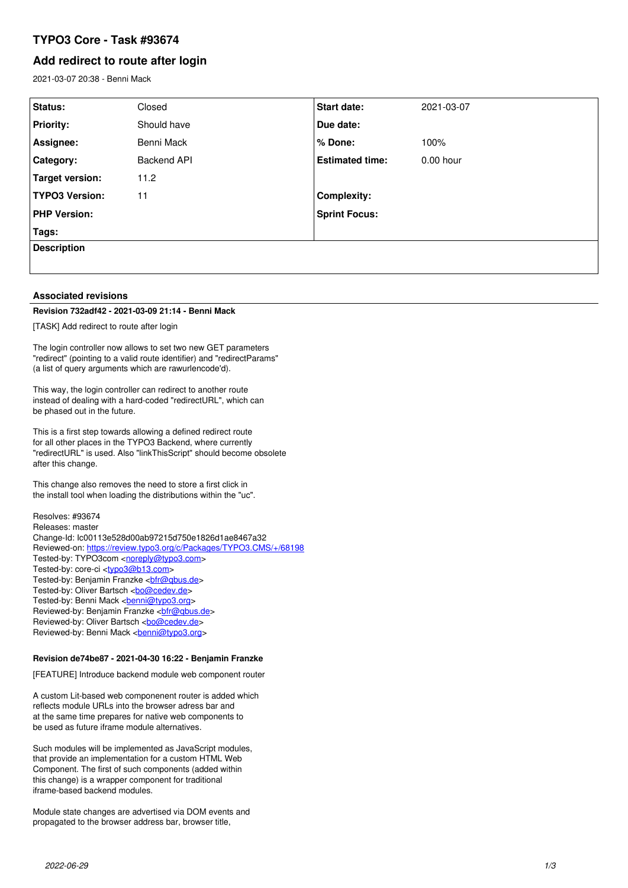# **TYPO3 Core - Task #93674**

# **Add redirect to route after login**

2021-03-07 20:38 - Benni Mack

| Status:               | Closed      | <b>Start date:</b>     | 2021-03-07  |
|-----------------------|-------------|------------------------|-------------|
| <b>Priority:</b>      | Should have | Due date:              |             |
| Assignee:             | Benni Mack  | % Done:                | 100%        |
| Category:             | Backend API | <b>Estimated time:</b> | $0.00$ hour |
| Target version:       | 11.2        |                        |             |
| <b>TYPO3 Version:</b> | 11          | <b>Complexity:</b>     |             |
| <b>PHP Version:</b>   |             | <b>Sprint Focus:</b>   |             |
| Tags:                 |             |                        |             |
| <b>Description</b>    |             |                        |             |
|                       |             |                        |             |

## **Associated revisions**

### **Revision 732adf42 - 2021-03-09 21:14 - Benni Mack**

[TASK] Add redirect to route after login

The login controller now allows to set two new GET parameters "redirect" (pointing to a valid route identifier) and "redirectParams" (a list of query arguments which are rawurlencode'd).

This way, the login controller can redirect to another route instead of dealing with a hard-coded "redirectURL", which can be phased out in the future.

This is a first step towards allowing a defined redirect route for all other places in the TYPO3 Backend, where currently "redirectURL" is used. Also "linkThisScript" should become obsolete after this change.

This change also removes the need to store a first click in the install tool when loading the distributions within the "uc".

Resolves: #93674 Releases: master Change-Id: Ic00113e528d00ab97215d750e1826d1ae8467a32 Reviewed-on:<https://review.typo3.org/c/Packages/TYPO3.CMS/+/68198> Tested-by: TYPO3com [<noreply@typo3.com>](mailto:noreply@typo3.com) Tested-by: core-ci [<typo3@b13.com](mailto:typo3@b13.com)> Tested-by: Benjamin Franzke <br />
chir@qbus.de> Tested-by: Oliver Bartsch <br/> <br/> <br/> <br/>Condev.de> Tested-by: Benni Mack <br /> **[benni@typo3.org>](mailto:benni@typo3.org)** Reviewed-by: Benjamin Franzke <br />
charge <br />
Reviewed-by: Benjamin Franzke <br />
<br />
Reviewed-by: Benjamin Franzke <br />
<br />
Letal<br />
Letal<br />
Letal<br />
Letal<br />
Letal<br />
Letal<br />
Letal<br /> Reviewed-by: Oliver Bartsch <br/> <br/>[bo@cedev.de](mailto:bo@cedev.de)> Reviewed-by: Benni Mack <br/> <br/> <br/> <br/> <br/> <br/> $\frac{1}{\sqrt{2\pi}}\sum_{n=0}^{\infty}\frac{1}{n^{n}}$ 

# **Revision de74be87 - 2021-04-30 16:22 - Benjamin Franzke**

[FEATURE] Introduce backend module web component router

A custom Lit-based web componenent router is added which reflects module URLs into the browser adress bar and at the same time prepares for native web components to be used as future iframe module alternatives.

Such modules will be implemented as JavaScript modules, that provide an implementation for a custom HTML Web Component. The first of such components (added within this change) is a wrapper component for traditional iframe-based backend modules.

Module state changes are advertised via DOM events and propagated to the browser address bar, browser title,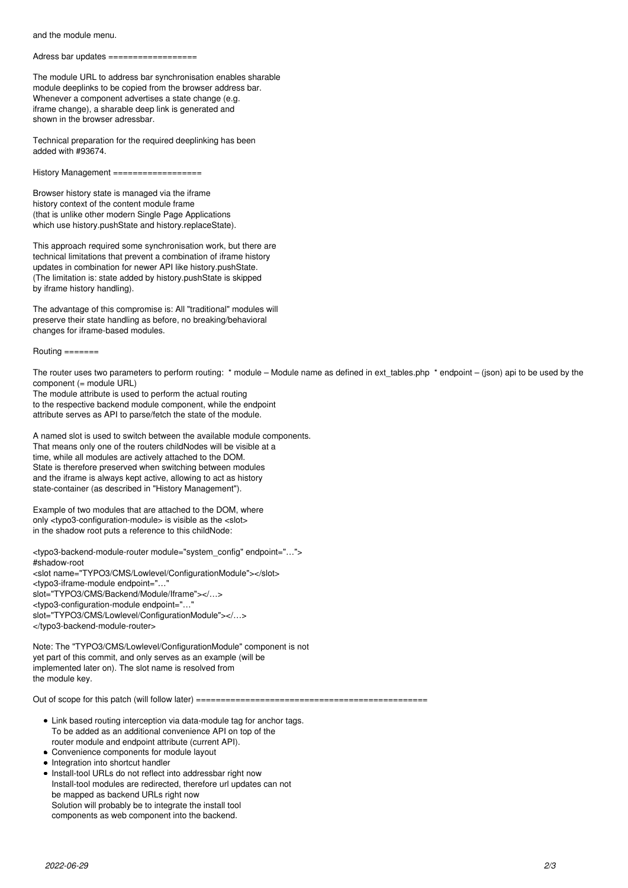and the module menu.

Adress bar updates =============

The module URL to address bar synchronisation enables sharable module deeplinks to be copied from the browser address bar. Whenever a component advertises a state change (e.g. iframe change), a sharable deep link is generated and shown in the browser adressbar.

Technical preparation for the required deeplinking has been added with #93674.

History Management ==================

Browser history state is managed via the iframe history context of the content module frame (that is unlike other modern Single Page Applications which use history.pushState and history.replaceState).

This approach required some synchronisation work, but there are technical limitations that prevent a combination of iframe history updates in combination for newer API like history.pushState. (The limitation is: state added by history.pushState is skipped by iframe history handling).

The advantage of this compromise is: All "traditional" modules will preserve their state handling as before, no breaking/behavioral changes for iframe-based modules.

 $R$ outing  $=$  $=$  $=$  $=$  $=$  $=$  $=$ 

The router uses two parameters to perform routing: \* module – Module name as defined in ext\_tables.php \* endpoint – (json) api to be used by the component (= module URL)

The module attribute is used to perform the actual routing to the respective backend module component, while the endpoint attribute serves as API to parse/fetch the state of the module.

A named slot is used to switch between the available module components. That means only one of the routers childNodes will be visible at a time, while all modules are actively attached to the DOM. State is therefore preserved when switching between modules and the iframe is always kept active, allowing to act as history state-container (as described in "History Management").

Example of two modules that are attached to the DOM, where only <typo3-configuration-module> is visible as the <slot> in the shadow root puts a reference to this childNode:

<typo3-backend-module-router module="system\_config" endpoint="…"> #shadow-root <slot name="TYPO3/CMS/Lowlevel/ConfigurationModule"></slot> <typo3-iframe-module endpoint="…" slot="TYPO3/CMS/Backend/Module/Iframe"></…> <typo3-configuration-module endpoint="…" slot="TYPO3/CMS/Lowlevel/ConfigurationModule"></…> </typo3-backend-module-router>

Note: The "TYPO3/CMS/Lowlevel/ConfigurationModule" component is not yet part of this commit, and only serves as an example (will be implemented later on). The slot name is resolved from the module key.

Out of scope for this patch (will follow later) ===============================================

- Link based routing interception via data-module tag for anchor tags. To be added as an additional convenience API on top of the router module and endpoint attribute (current API).
- Convenience components for module layout
- Integration into shortcut handler
- Install-tool URLs do not reflect into addressbar right now Install-tool modules are redirected, therefore url updates can not be mapped as backend URLs right now Solution will probably be to integrate the install tool components as web component into the backend.